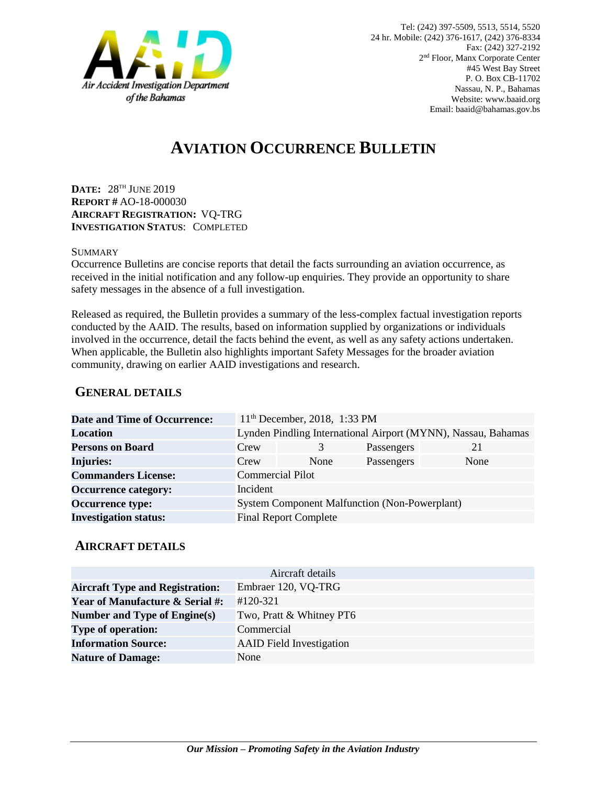

# **AVIATION OCCURRENCE BULLETIN**

**DATE:** 28 TH JUNE 2019 **REPORT #** AO-18-000030 **AIRCRAFT REGISTRATION:** VQ-TRG **INVESTIGATION STATUS**: COMPLETED

#### **SUMMARY**

Occurrence Bulletins are concise reports that detail the facts surrounding an aviation occurrence, as received in the initial notification and any follow-up enquiries. They provide an opportunity to share safety messages in the absence of a full investigation*.*

Released as required, the Bulletin provides a summary of the less-complex factual investigation reports conducted by the AAID. The results, based on information supplied by organizations or individuals involved in the occurrence, detail the facts behind the event, as well as any safety actions undertaken. When applicable, the Bulletin also highlights important Safety Messages for the broader aviation community, drawing on earlier AAID investigations and research.

### **GENERAL DETAILS**

| Date and Time of Occurrence: |                                                               | 11 <sup>th</sup> December, 2018, 1:33 PM |            |      |
|------------------------------|---------------------------------------------------------------|------------------------------------------|------------|------|
| <b>Location</b>              | Lynden Pindling International Airport (MYNN), Nassau, Bahamas |                                          |            |      |
| <b>Persons on Board</b>      | Crew                                                          | 3                                        | Passengers | 21   |
| <b>Injuries:</b>             | Crew                                                          | None                                     | Passengers | None |
| <b>Commanders License:</b>   | <b>Commercial Pilot</b>                                       |                                          |            |      |
| <b>Occurrence category:</b>  | Incident                                                      |                                          |            |      |
| <b>Occurrence type:</b>      | <b>System Component Malfunction (Non-Powerplant)</b>          |                                          |            |      |
| <b>Investigation status:</b> | <b>Final Report Complete</b>                                  |                                          |            |      |

#### **AIRCRAFT DETAILS**

| Aircraft details                           |                                 |  |  |
|--------------------------------------------|---------------------------------|--|--|
| <b>Aircraft Type and Registration:</b>     | Embraer 120, VQ-TRG             |  |  |
| <b>Year of Manufacture &amp; Serial #:</b> | $#120-321$                      |  |  |
| Number and Type of Engine(s)               | Two, Pratt & Whitney PT6        |  |  |
| <b>Type of operation:</b>                  | Commercial                      |  |  |
| <b>Information Source:</b>                 | <b>AAID</b> Field Investigation |  |  |
| <b>Nature of Damage:</b>                   | None                            |  |  |